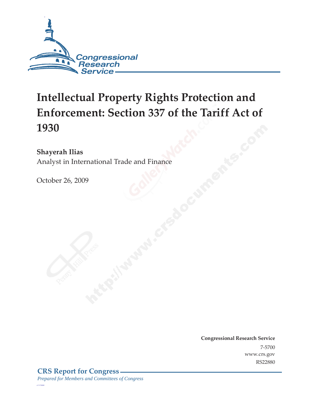

# **Intellectual Property Rights Protection and Enforcement: Section 337 of the Tariff Act of 1930**

### **Shayerah Ilias**

Analyst in International Trade and Finance

October 26, 2009

**Congressional Research Service** 7-5700 www.crs.gov RS22880

*c11173008*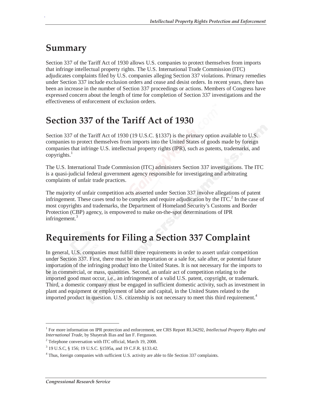## **Summary**

.

Section 337 of the Tariff Act of 1930 allows U.S. companies to protect themselves from imports that infringe intellectual property rights. The U.S. International Trade Commission (ITC) adjudicates complaints filed by U.S. companies alleging Section 337 violations. Primary remedies under Section 337 include exclusion orders and cease and desist orders. In recent years, there has been an increase in the number of Section 337 proceedings or actions. Members of Congress have expressed concern about the length of time for completion of Section 337 investigations and the effectiveness of enforcement of exclusion orders.

## **Section 337 of the Tariff Act of 1930**

Section 337 of the Tariff Act of 1930 (19 U.S.C. §1337) is the primary option available to U.S. companies to protect themselves from imports into the United States of goods made by foreign companies that infringe U.S. intellectual property rights (IPR), such as patents, trademarks, and copyrights. $<sup>1</sup>$ </sup>

The U.S. International Trade Commission (ITC) administers Section 337 investigations. The ITC is a quasi-judicial federal government agency responsible for investigating and arbitrating complaints of unfair trade practices.

The majority of unfair competition acts asserted under Section 337 involve allegations of patent infringement. These cases tend to be complex and require adjudication by the ITC.<sup>2</sup> In the case of most copyrights and trademarks, the Department of Homeland Security's Customs and Border Protection (CBP) agency, is empowered to make on-the-spot determinations of IPR infringement. $3$ 

## **Requirements for Filing a Section 337 Complaint**

In general, U.S. companies must fulfill three requirements in order to assert unfair competition under Section 337. First, there must be an importation or a sale for, sale after, or potential future importation of the infringing product into the United States. It is not necessary for the imports to be in commercial, or mass, quantities. Second, an unfair act of competition relating to the imported good must occur, i.e., an infringement of a valid U.S. patent, copyright, or trademark. Third, a domestic company must be engaged in sufficient domestic activity, such as investment in plant and equipment or employment of labor and capital, in the United States related to the imported product in question. U.S. citizenship is not necessary to meet this third requirement.<sup>4</sup>

-

<sup>1</sup> For more information on IPR protection and enforcement, see CRS Report RL34292, *Intellectual Property Rights and International Trade*, by Shayerah Ilias and Ian F. Fergusson.

<sup>&</sup>lt;sup>2</sup> Telephone conversation with ITC official, March 19, 2008.

<sup>3</sup> 19 U.S.C, § 156; 19 U.S.C. §1595a, and 19 C.F.R. §133.42.

<sup>&</sup>lt;sup>4</sup> Thus, foreign companies with sufficient U.S. activity are able to file Section 337 complaints.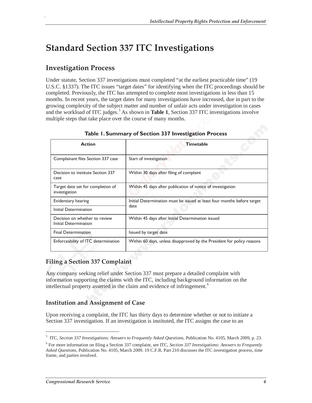## **Standard Section 337 ITC Investigations**

### **Investigation Process**

.

Under statute, Section 337 investigations must completed "at the earliest practicable time" (19 U.S.C. §1337). The ITC issues "target dates" for identifying when the ITC proceedings should be completed. Previously, the ITC has attempted to complete most investigations in less than 15 months. In recent years, the target dates for many investigations have increased, due in part to the growing complexity of the subject matter and number of unfair acts under investigation in cases and the workload of ITC judges.<sup>5</sup> As shown in **Table 1**, Section 337 ITC investigations involve multiple steps that take place over the course of many months.

| <b>Action</b>                                          | <b>Timetable</b>                                                                |
|--------------------------------------------------------|---------------------------------------------------------------------------------|
| Complainant files Section 337 case                     | Start of investigation                                                          |
| Decision to institute Section 337<br>case              | Within 30 days after filing of complaint                                        |
| Target date set for completion of<br>investigation     | Within 45 days after publication of notice of investigation                     |
| Evidentiary hearing                                    | Initial Determination must be issued at least four months before target<br>date |
| Initial Determination                                  |                                                                                 |
| Decision on whether to review<br>Initial Determination | Within 45 days after Initial Determination issued                               |
| <b>Final Determination</b>                             | Issued by target date                                                           |
| Enforceability of ITC determination                    | Within 60 days, unless disapproved by the President for policy reasons          |

#### **Table 1. Summary of Section 337 Investigation Process**

#### **Filing a Section 337 Complaint**

Any company seeking relief under Section 337 must prepare a detailed complaint with information supporting the claims with the ITC, including background information on the intellectual property asserted in the claim and evidence of infringement.<sup>6</sup>

#### **Institution and Assignment of Case**

Upon receiving a complaint, the ITC has thirty days to determine whether or not to initiate a Section 337 investigation. If an investigation is instituted, the ITC assigns the case to an

<u>.</u>

<sup>5</sup> ITC, *Section 337 Investigations: Answers to Frequently Asked Questions*, Publication No. 4105, March 2009, p. 23.

<sup>6</sup> For more information on filing a Section 337 complaint, see ITC, *Section 337 Investigations: Answers to Frequently Asked Questions*, Publication No. 4105, March 2009. 19 C.F.R. Part 210 discusses the ITC investigation process, time frame, and parties involved.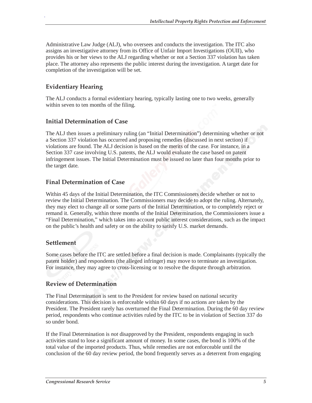Administrative Law Judge (ALJ), who oversees and conducts the investigation. The ITC also assigns an investigative attorney from its Office of Unfair Import Investigations (OUII), who provides his or her views to the ALJ regarding whether or not a Section 337 violation has taken place. The attorney also represents the public interest during the investigation. A target date for completion of the investigation will be set.

#### **Evidentiary Hearing**

.

The ALJ conducts a formal evidentiary hearing, typically lasting one to two weeks, generally within seven to ten months of the filing.

#### **Initial Determination of Case**

The ALJ then issues a preliminary ruling (an "Initial Determination") determining whether or not a Section 337 violation has occurred and proposing remedies (discussed in next section) if violations are found. The ALJ decision is based on the merits of the case. For instance, in a Section 337 case involving U.S. patents, the ALJ would evaluate the case based on patent infringement issues. The Initial Determination must be issued no later than four months prior to the target date.

#### **Final Determination of Case**

Within 45 days of the Initial Determination, the ITC Commissioners decide whether or not to review the Initial Determination. The Commissioners may decide to adopt the ruling. Alternately, they may elect to change all or some parts of the Initial Determination, or to completely reject or remand it. Generally, within three months of the Initial Determination, the Commissioners issue a "Final Determination," which takes into account public interest considerations, such as the impact on the public's health and safety or on the ability to satisfy U.S. market demands.

#### **Settlement**

Some cases before the ITC are settled before a final decision is made. Complainants (typically the patent holder) and respondents (the alleged infringer) may move to terminate an investigation. For instance, they may agree to cross-licensing or to resolve the dispute through arbitration.

#### **Review of Determination**

The Final Determination is sent to the President for review based on national security considerations. This decision is enforceable within 60 days if no actions are taken by the President. The President rarely has overturned the Final Determination. During the 60 day review period, respondents who continue activities ruled by the ITC to be in violation of Section 337 do so under bond.

If the Final Determination is *not* disapproved by the President, respondents engaging in such activities stand to lose a significant amount of money. In some cases, the bond is 100% of the total value of the imported products. Thus, while remedies are not enforceable until the conclusion of the 60 day review period, the bond frequently serves as a deterrent from engaging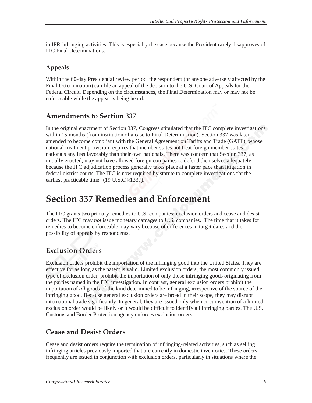in IPR-infringing activities. This is especially the case because the President rarely disapproves of ITC Final Determinations.

#### **Appeals**

.

Within the 60-day Presidential review period, the respondent (or anyone adversely affected by the Final Determination) can file an appeal of the decision to the U.S. Court of Appeals for the Federal Circuit. Depending on the circumstances, the Final Determination may or may not be enforceable while the appeal is being heard.

### **Amendments to Section 337**

In the original enactment of Section 337, Congress stipulated that the ITC complete investigations within 15 months (from institution of a case to Final Determination). Section 337 was later amended to become compliant with the General Agreement on Tariffs and Trade (GATT), whose national treatment provision requires that member states not treat foreign member states' nationals any less favorably than their own nationals. There was concern that Section 337, as initially enacted, may not have allowed foreign companies to defend themselves adequately because the ITC adjudication process generally takes place at a faster pace than litigation in federal district courts. The ITC is now required by statute to complete investigations "at the earliest practicable time" (19 U.S.C §1337).

### **Section 337 Remedies and Enforcement**

The ITC grants two primary remedies to U.S. companies: exclusion orders and cease and desist orders. The ITC may *not* issue monetary damages to U.S. companies. The time that it takes for remedies to become enforceable may vary because of differences in target dates and the possibility of appeals by respondents.

### **Exclusion Orders**

Exclusion orders prohibit the importation of the infringing good into the United States. They are effective for as long as the patent is valid. Limited exclusion orders, the most commonly issued type of exclusion order, prohibit the importation of only those infringing goods originating from the parties named in the ITC investigation. In contrast, general exclusion orders prohibit the importation of *all* goods of the kind determined to be infringing, irrespective of the source of the infringing good. Because general exclusion orders are broad in their scope, they may disrupt international trade significantly. In general, they are issued only when circumvention of a limited exclusion order would be likely or it would be difficult to identify all infringing parties. The U.S. Customs and Border Protection agency enforces exclusion orders.

#### **Cease and Desist Orders**

Cease and desist orders require the termination of infringing-related activities, such as selling infringing articles previously imported that are currently in domestic inventories. These orders frequently are issued in conjunction with exclusion orders, particularly in situations where the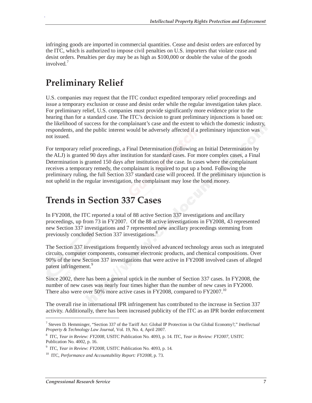infringing goods are imported in commercial quantities. Cease and desist orders are enforced by the ITC, which is authorized to impose civil penalties on U.S. importers that violate cease and desist orders. Penalties per day may be as high as \$100,000 or double the value of the goods involved $<sup>7</sup>$ </sup>

## **Preliminary Relief**

.

U.S. companies may request that the ITC conduct expedited temporary relief proceedings and issue a temporary exclusion or cease and desist order while the regular investigation takes place. For preliminary relief, U.S. companies must provide significantly more evidence prior to the hearing than for a standard case. The ITC's decision to grant preliminary injunctions is based on: the likelihood of success for the complainant's case and the extent to which the domestic industry, respondents, and the public interest would be adversely affected if a preliminary injunction was not issued.

For temporary relief proceedings, a Final Determination (following an Initial Determination by the ALJ) is granted 90 days after institution for standard cases. For more complex cases, a Final Determination is granted 150 days after institution of the case. In cases where the complainant receives a temporary remedy, the complainant is required to put up a bond. Following the preliminary ruling, the full Section 337 standard case will proceed. If the preliminary injunction is not upheld in the regular investigation, the complainant may lose the bond money.

## **Trends in Section 337 Cases**

In FY2008, the ITC reported a total of 88 active Section 337 investigations and ancillary proceedings, up from 73 in FY2007. Of the 88 active investigations in FY2008, 43 represented new Section 337 investigations and 7 represented new ancillary proceedings stemming from previously concluded Section 337 investigations.<sup>8</sup>

The Section 337 investigations frequently involved advanced technology areas such as integrated circuits, computer components, consumer electronic products, and chemical compositions. Over 90% of the new Section 337 investigations that were active in FY2008 involved cases of alleged patent infringement.<sup>9</sup>

Since 2002, there has been a general uptick in the number of Section 337 cases. In FY2008, the number of new cases was nearly four times higher than the number of new cases in FY2000. There also were over 50% more active cases in FY2008, compared to FY2007.<sup>10</sup>

The overall rise in international IPR infringement has contributed to the increase in Section 337 activity. Additionally, there has been increased publicity of the ITC as an IPR border enforcement

<u>.</u>

<sup>7</sup> Steven D. Hemminger, "Section 337 of the Tariff Act: Global IP Protection in Our Global Economy?," *Intellectual Property & Technology Law Journal*, Vol. 19, No. 4, April 2007.

<sup>8</sup> ITC, *Year in Review: FY2008*, USITC Publication No. 4093, p. 14. ITC, *Year in Review: FY2007*, USITC Publication No. 4002, p. 16.

<sup>9</sup> ITC, *Year in Review: FY2008*, USITC Publication No. 4093, p. 14.

<sup>10</sup> ITC, *Performance and Accountability Report: FY2008*, p. 73.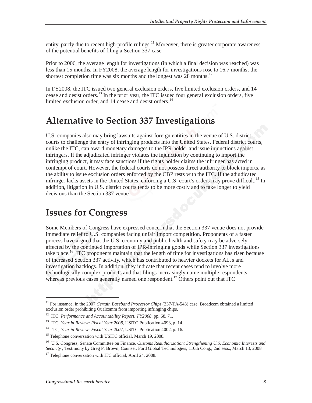entity, partly due to recent high-profile rulings.<sup>11</sup> Moreover, there is greater corporate awareness of the potential benefits of filing a Section 337 case.

Prior to 2006, the average length for investigations (in which a final decision was reached) was less than 15 months. In FY2008, the average length for investigations rose to 16.7 months; the shortest completion time was six months and the longest was  $28$  months.<sup>12</sup>

In FY2008, the ITC issued two general exclusion orders, five limited exclusion orders, and 14 cease and desist orders.<sup>13</sup> In the prior year, the ITC issued four general exclusion orders, five limited exclusion order, and  $14$  cease and desist orders.<sup>14</sup>

### **Alternative to Section 337 Investigations**

U.S. companies also may bring lawsuits against foreign entities in the venue of U.S. district courts to challenge the entry of infringing products into the United States. Federal district courts, unlike the ITC, can award monetary damages to the IPR holder and issue injunctions against infringers. If the adjudicated infringer violates the injunction by continuing to import the infringing product, it may face sanctions if the rights holder claims the infringer has acted in contempt of court. However, the federal courts do not possess direct authority to block imports, as the ability to issue exclusion orders enforced by the CBP rests with the ITC. If the adjudicated infringer lacks assets in the United States, enforcing a U.S. court's orders may prove difficult.<sup>15</sup> In addition, litigation in U.S. district courts tends to be more costly and to take longer to yield decisions than the Section 337 venue.

### **Issues for Congress**

Some Members of Congress have expressed concern that the Section 337 venue does not provide immediate relief to U.S. companies facing unfair import competition. Proponents of a faster process have argued that the U.S. economy and public health and safety may be adversely affected by the continued importation of IPR-infringing goods while Section 337 investigations take place.<sup>16</sup> ITC proponents maintain that the length of time for investigations has risen because of increased Section 337 activity, which has contributed to heavier dockets for ALJs and investigation backlogs. In addition, they indicate that recent cases tend to involve more technologically complex products and that filings increasingly name multiple respondents, whereas previous cases generally named one respondent.<sup>17</sup> Others point out that  $\overline{ITC}$ 

<u>.</u>

.

<sup>&</sup>lt;sup>11</sup> For instance, in the 2007 *Certain Baseband Processor Chips* (337-TA-543) case, Broadcom obtained a limited exclusion order prohibiting Qualcomm from importing infringing chips.

<sup>&</sup>lt;sup>12</sup> ITC, *Performance and Accountability Report: FY2008*, pp. 68, 71.<br><sup>13</sup> ITC, *Year in Review: Fiscal Year 2008*, USITC Publication 4093, p. 14.

<sup>&</sup>lt;sup>14</sup> ITC, *Year in Review: Fiscal Year 2007*, USITC Publication 4002, p. 16.

<sup>&</sup>lt;sup>15</sup> Telephone conversation with USITC official, March 19, 2008.

<sup>16</sup> U.S. Congress, Senate Committee on Finance, *Customs Reauthorization: Strengthening U.S. Economic Interests and Security* , Testimony by Greg P. Brown, Counsel, Ford Global Technologies, 110th Cong., 2nd sess., March 13, 2008.

<sup>&</sup>lt;sup>17</sup> Telephone conversation with ITC official, April 24, 2008.